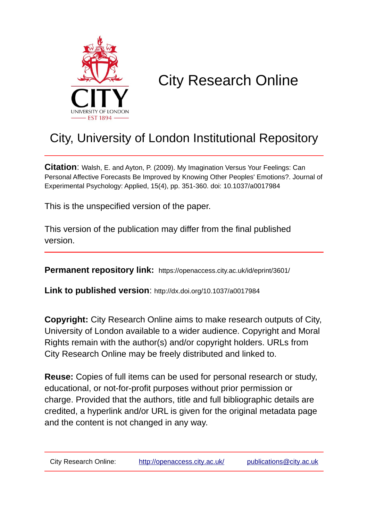

# City Research Online

## City, University of London Institutional Repository

**Citation**: Walsh, E. and Ayton, P. (2009). My Imagination Versus Your Feelings: Can Personal Affective Forecasts Be Improved by Knowing Other Peoples' Emotions?. Journal of Experimental Psychology: Applied, 15(4), pp. 351-360. doi: 10.1037/a0017984

This is the unspecified version of the paper.

This version of the publication may differ from the final published version.

**Permanent repository link:** https://openaccess.city.ac.uk/id/eprint/3601/

**Link to published version**: http://dx.doi.org/10.1037/a0017984

**Copyright:** City Research Online aims to make research outputs of City, University of London available to a wider audience. Copyright and Moral Rights remain with the author(s) and/or copyright holders. URLs from City Research Online may be freely distributed and linked to.

**Reuse:** Copies of full items can be used for personal research or study, educational, or not-for-profit purposes without prior permission or charge. Provided that the authors, title and full bibliographic details are credited, a hyperlink and/or URL is given for the original metadata page and the content is not changed in any way.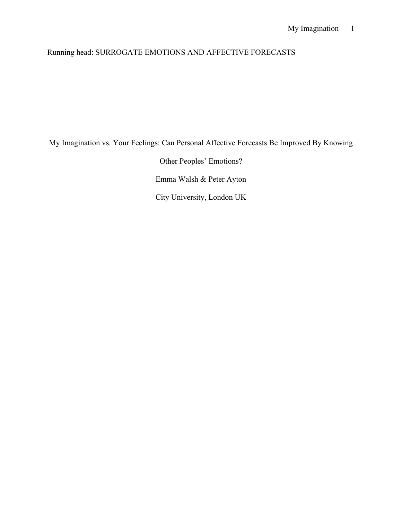## My Imagination 1

## Running head: SURROGATE EMOTIONS AND AFFECTIVE FORECASTS

My Imagination vs. Your Feelings: Can Personal Affective Forecasts Be Improved By Knowing

Other Peoples' Emotions? Emma Walsh & Peter Ayton City University, London UK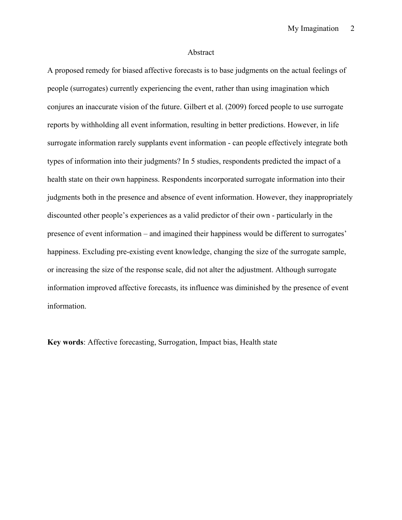#### Abstract

A proposed remedy for biased affective forecasts is to base judgments on the actual feelings of people (surrogates) currently experiencing the event, rather than using imagination which conjures an inaccurate vision of the future. Gilbert et al. (2009) forced people to use surrogate reports by withholding all event information, resulting in better predictions. However, in life surrogate information rarely supplants event information - can people effectively integrate both types of information into their judgments? In 5 studies, respondents predicted the impact of a health state on their own happiness. Respondents incorporated surrogate information into their judgments both in the presence and absence of event information. However, they inappropriately discounted other people's experiences as a valid predictor of their own - particularly in the presence of event information – and imagined their happiness would be different to surrogates' happiness. Excluding pre-existing event knowledge, changing the size of the surrogate sample, or increasing the size of the response scale, did not alter the adjustment. Although surrogate information improved affective forecasts, its influence was diminished by the presence of event information.

**Key words**: Affective forecasting, Surrogation, Impact bias, Health state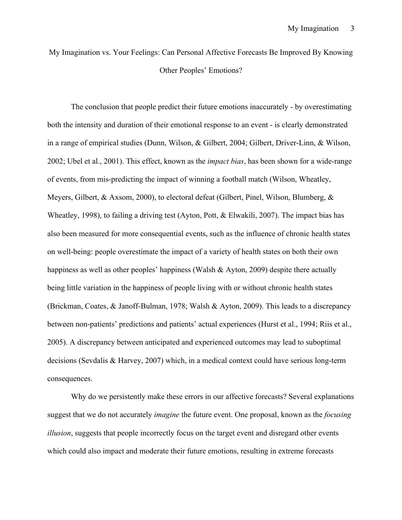My Imagination vs. Your Feelings: Can Personal Affective Forecasts Be Improved By Knowing Other Peoples' Emotions?

The conclusion that people predict their future emotions inaccurately - by overestimating both the intensity and duration of their emotional response to an event - is clearly demonstrated in a range of empirical studies (Dunn, Wilson, & Gilbert, 2004; Gilbert, Driver-Linn, & Wilson, 2002; Ubel et al., 2001). This effect, known as the *impact bias*, has been shown for a wide-range of events, from mis-predicting the impact of winning a football match (Wilson, Wheatley, Meyers, Gilbert, & Axsom, 2000), to electoral defeat (Gilbert, Pinel, Wilson, Blumberg, & Wheatley, 1998), to failing a driving test (Ayton, Pott, & Elwakili, 2007). The impact bias has also been measured for more consequential events, such as the influence of chronic health states on well-being: people overestimate the impact of a variety of health states on both their own happiness as well as other peoples' happiness (Walsh  $\&$  Ayton, 2009) despite there actually being little variation in the happiness of people living with or without chronic health states (Brickman, Coates, & Janoff-Bulman, 1978; Walsh & Ayton, 2009). This leads to a discrepancy between non-patients' predictions and patients' actual experiences (Hurst et al., 1994; Riis et al., 2005). A discrepancy between anticipated and experienced outcomes may lead to suboptimal decisions (Sevdalis & Harvey, 2007) which, in a medical context could have serious long-term consequences.

Why do we persistently make these errors in our affective forecasts? Several explanations suggest that we do not accurately *imagine* the future event. One proposal, known as the *focusing illusion*, suggests that people incorrectly focus on the target event and disregard other events which could also impact and moderate their future emotions, resulting in extreme forecasts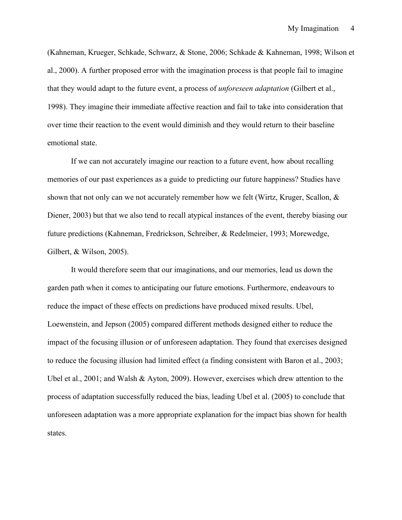(Kahneman, Krueger, Schkade, Schwarz, & Stone, 2006; Schkade & Kahneman, 1998; Wilson et al., 2000). A further proposed error with the imagination process is that people fail to imagine that they would adapt to the future event, a process of *unforeseen adaptation* (Gilbert et al., 1998). They imagine their immediate affective reaction and fail to take into consideration that over time their reaction to the event would diminish and they would return to their baseline emotional state.

If we can not accurately imagine our reaction to a future event, how about recalling memories of our past experiences as a guide to predicting our future happiness? Studies have shown that not only can we not accurately remember how we felt (Wirtz, Kruger, Scallon, & Diener, 2003) but that we also tend to recall atypical instances of the event, thereby biasing our future predictions (Kahneman, Fredrickson, Schreiber, & Redelmeier, 1993; Morewedge, Gilbert, & Wilson, 2005).

It would therefore seem that our imaginations, and our memories, lead us down the garden path when it comes to anticipating our future emotions. Furthermore, endeavours to reduce the impact of these effects on predictions have produced mixed results. Ubel, Loewenstein, and Jepson (2005) compared different methods designed either to reduce the impact of the focusing illusion or of unforeseen adaptation. They found that exercises designed to reduce the focusing illusion had limited effect (a finding consistent with Baron et al., 2003; Ubel et al., 2001; and Walsh & Ayton, 2009). However, exercises which drew attention to the process of adaptation successfully reduced the bias, leading Ubel et al. (2005) to conclude that unforeseen adaptation was a more appropriate explanation for the impact bias shown for health states.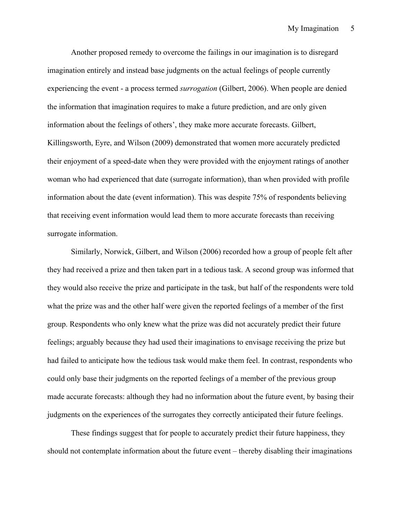Another proposed remedy to overcome the failings in our imagination is to disregard imagination entirely and instead base judgments on the actual feelings of people currently experiencing the event - a process termed *surrogation* (Gilbert, 2006). When people are denied the information that imagination requires to make a future prediction, and are only given information about the feelings of others', they make more accurate forecasts. Gilbert, Killingsworth, Eyre, and Wilson (2009) demonstrated that women more accurately predicted their enjoyment of a speed-date when they were provided with the enjoyment ratings of another woman who had experienced that date (surrogate information), than when provided with profile information about the date (event information). This was despite 75% of respondents believing that receiving event information would lead them to more accurate forecasts than receiving surrogate information.

Similarly, Norwick, Gilbert, and Wilson (2006) recorded how a group of people felt after they had received a prize and then taken part in a tedious task. A second group was informed that they would also receive the prize and participate in the task, but half of the respondents were told what the prize was and the other half were given the reported feelings of a member of the first group. Respondents who only knew what the prize was did not accurately predict their future feelings; arguably because they had used their imaginations to envisage receiving the prize but had failed to anticipate how the tedious task would make them feel. In contrast, respondents who could only base their judgments on the reported feelings of a member of the previous group made accurate forecasts: although they had no information about the future event, by basing their judgments on the experiences of the surrogates they correctly anticipated their future feelings.

These findings suggest that for people to accurately predict their future happiness, they should not contemplate information about the future event – thereby disabling their imaginations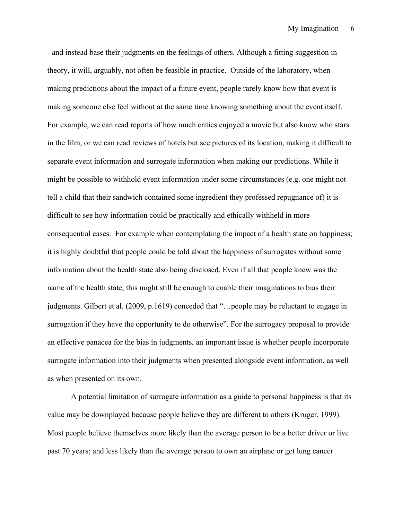- and instead base their judgments on the feelings of others. Although a fitting suggestion in theory, it will, arguably, not often be feasible in practice. Outside of the laboratory, when making predictions about the impact of a future event, people rarely know how that event is making someone else feel without at the same time knowing something about the event itself. For example, we can read reports of how much critics enjoyed a movie but also know who stars in the film, or we can read reviews of hotels but see pictures of its location, making it difficult to separate event information and surrogate information when making our predictions. While it might be possible to withhold event information under some circumstances (e.g. one might not tell a child that their sandwich contained some ingredient they professed repugnance of) it is difficult to see how information could be practically and ethically withheld in more consequential cases. For example when contemplating the impact of a health state on happiness; it is highly doubtful that people could be told about the happiness of surrogates without some information about the health state also being disclosed. Even if all that people knew was the name of the health state, this might still be enough to enable their imaginations to bias their judgments. Gilbert et al. (2009, p.1619) conceded that "…people may be reluctant to engage in surrogation if they have the opportunity to do otherwise". For the surrogacy proposal to provide an effective panacea for the bias in judgments, an important issue is whether people incorporate surrogate information into their judgments when presented alongside event information, as well as when presented on its own.

A potential limitation of surrogate information as a guide to personal happiness is that its value may be downplayed because people believe they are different to others (Kruger, 1999). Most people believe themselves more likely than the average person to be a better driver or live past 70 years; and less likely than the average person to own an airplane or get lung cancer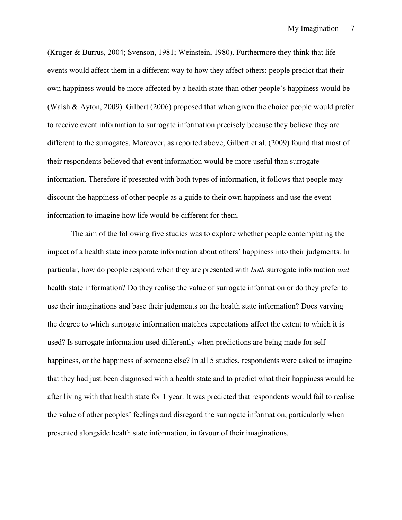(Kruger & Burrus, 2004; Svenson, 1981; Weinstein, 1980). Furthermore they think that life events would affect them in a different way to how they affect others: people predict that their own happiness would be more affected by a health state than other people's happiness would be (Walsh & Ayton, 2009). Gilbert (2006) proposed that when given the choice people would prefer to receive event information to surrogate information precisely because they believe they are different to the surrogates. Moreover, as reported above, Gilbert et al. (2009) found that most of their respondents believed that event information would be more useful than surrogate information. Therefore if presented with both types of information, it follows that people may discount the happiness of other people as a guide to their own happiness and use the event information to imagine how life would be different for them.

The aim of the following five studies was to explore whether people contemplating the impact of a health state incorporate information about others' happiness into their judgments. In particular, how do people respond when they are presented with *both* surrogate information *and* health state information? Do they realise the value of surrogate information or do they prefer to use their imaginations and base their judgments on the health state information? Does varying the degree to which surrogate information matches expectations affect the extent to which it is used? Is surrogate information used differently when predictions are being made for selfhappiness, or the happiness of someone else? In all 5 studies, respondents were asked to imagine that they had just been diagnosed with a health state and to predict what their happiness would be after living with that health state for 1 year. It was predicted that respondents would fail to realise the value of other peoples' feelings and disregard the surrogate information, particularly when presented alongside health state information, in favour of their imaginations.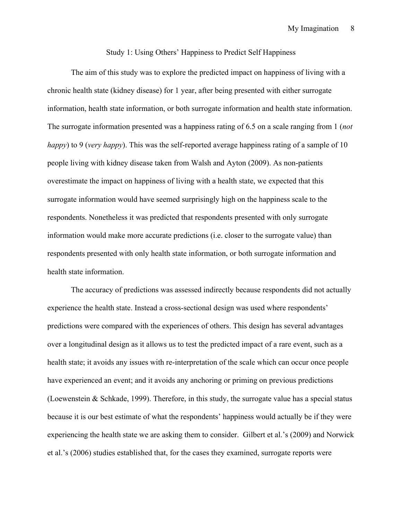#### Study 1: Using Others' Happiness to Predict Self Happiness

The aim of this study was to explore the predicted impact on happiness of living with a chronic health state (kidney disease) for 1 year, after being presented with either surrogate information, health state information, or both surrogate information and health state information. The surrogate information presented was a happiness rating of 6.5 on a scale ranging from 1 (*not happy*) to 9 (*very happy*). This was the self-reported average happiness rating of a sample of 10 people living with kidney disease taken from Walsh and Ayton (2009). As non-patients overestimate the impact on happiness of living with a health state, we expected that this surrogate information would have seemed surprisingly high on the happiness scale to the respondents. Nonetheless it was predicted that respondents presented with only surrogate information would make more accurate predictions (i.e. closer to the surrogate value) than respondents presented with only health state information, or both surrogate information and health state information.

The accuracy of predictions was assessed indirectly because respondents did not actually experience the health state. Instead a cross-sectional design was used where respondents' predictions were compared with the experiences of others. This design has several advantages over a longitudinal design as it allows us to test the predicted impact of a rare event, such as a health state; it avoids any issues with re-interpretation of the scale which can occur once people have experienced an event; and it avoids any anchoring or priming on previous predictions (Loewenstein & Schkade, 1999). Therefore, in this study, the surrogate value has a special status because it is our best estimate of what the respondents' happiness would actually be if they were experiencing the health state we are asking them to consider. Gilbert et al.'s (2009) and Norwick et al.'s (2006) studies established that, for the cases they examined, surrogate reports were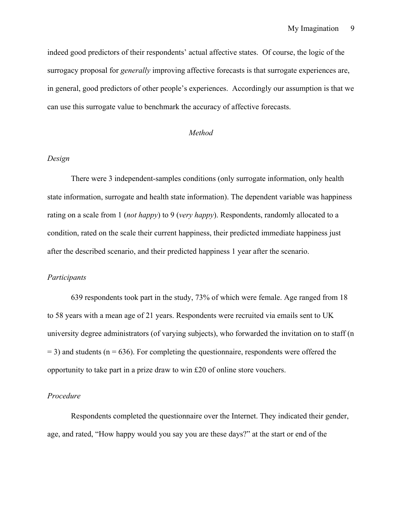indeed good predictors of their respondents' actual affective states. Of course, the logic of the surrogacy proposal for *generally* improving affective forecasts is that surrogate experiences are, in general, good predictors of other people's experiences. Accordingly our assumption is that we can use this surrogate value to benchmark the accuracy of affective forecasts.

#### *Method*

#### *Design*

There were 3 independent-samples conditions (only surrogate information, only health state information, surrogate and health state information). The dependent variable was happiness rating on a scale from 1 (*not happy*) to 9 (*very happy*). Respondents, randomly allocated to a condition, rated on the scale their current happiness, their predicted immediate happiness just after the described scenario, and their predicted happiness 1 year after the scenario.

#### *Participants*

639 respondents took part in the study, 73% of which were female. Age ranged from 18 to 58 years with a mean age of 21 years. Respondents were recruited via emails sent to UK university degree administrators (of varying subjects), who forwarded the invitation on to staff (n  $=$  3) and students (n = 636). For completing the questionnaire, respondents were offered the opportunity to take part in a prize draw to win £20 of online store vouchers.

#### *Procedure*

Respondents completed the questionnaire over the Internet. They indicated their gender, age, and rated, "How happy would you say you are these days?" at the start or end of the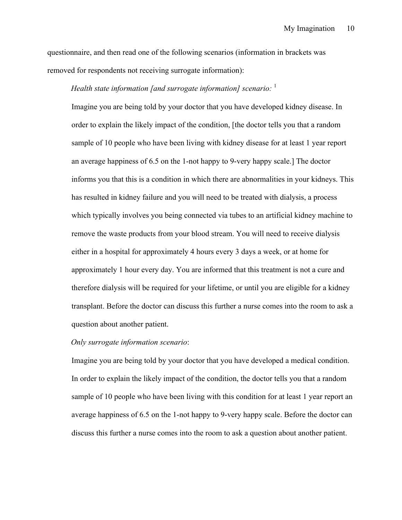questionnaire, and then read one of the following scenarios (information in brackets was removed for respondents not receiving surrogate information):

### *Health state information [and surrogate information] scenario:* <sup>1</sup>

Imagine you are being told by your doctor that you have developed kidney disease. In order to explain the likely impact of the condition, [the doctor tells you that a random sample of 10 people who have been living with kidney disease for at least 1 year report an average happiness of 6.5 on the 1-not happy to 9-very happy scale.] The doctor informs you that this is a condition in which there are abnormalities in your kidneys. This has resulted in kidney failure and you will need to be treated with dialysis, a process which typically involves you being connected via tubes to an artificial kidney machine to remove the waste products from your blood stream. You will need to receive dialysis either in a hospital for approximately 4 hours every 3 days a week, or at home for approximately 1 hour every day. You are informed that this treatment is not a cure and therefore dialysis will be required for your lifetime, or until you are eligible for a kidney transplant. Before the doctor can discuss this further a nurse comes into the room to ask a question about another patient.

#### *Only surrogate information scenario*:

Imagine you are being told by your doctor that you have developed a medical condition. In order to explain the likely impact of the condition, the doctor tells you that a random sample of 10 people who have been living with this condition for at least 1 year report an average happiness of 6.5 on the 1-not happy to 9-very happy scale. Before the doctor can discuss this further a nurse comes into the room to ask a question about another patient.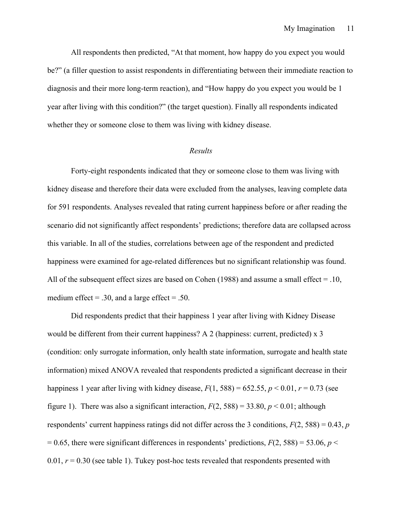All respondents then predicted, "At that moment, how happy do you expect you would be?" (a filler question to assist respondents in differentiating between their immediate reaction to diagnosis and their more long-term reaction), and "How happy do you expect you would be 1 year after living with this condition?" (the target question). Finally all respondents indicated whether they or someone close to them was living with kidney disease.

#### *Results*

Forty-eight respondents indicated that they or someone close to them was living with kidney disease and therefore their data were excluded from the analyses, leaving complete data for 591 respondents. Analyses revealed that rating current happiness before or after reading the scenario did not significantly affect respondents' predictions; therefore data are collapsed across this variable. In all of the studies, correlations between age of the respondent and predicted happiness were examined for age-related differences but no significant relationship was found. All of the subsequent effect sizes are based on Cohen (1988) and assume a small effect = .10, medium effect  $= .30$ , and a large effect  $= .50$ .

Did respondents predict that their happiness 1 year after living with Kidney Disease would be different from their current happiness? A 2 (happiness: current, predicted) x 3 (condition: only surrogate information, only health state information, surrogate and health state information) mixed ANOVA revealed that respondents predicted a significant decrease in their happiness 1 year after living with kidney disease,  $F(1, 588) = 652.55$ ,  $p < 0.01$ ,  $r = 0.73$  (see figure 1). There was also a significant interaction,  $F(2, 588) = 33.80$ ,  $p < 0.01$ ; although respondents' current happiness ratings did not differ across the 3 conditions, *F*(2, 588) = 0.43, *p*  $= 0.65$ , there were significant differences in respondents' predictions,  $F(2, 588) = 53.06$ ,  $p <$ 0.01,  $r = 0.30$  (see table 1). Tukey post-hoc tests revealed that respondents presented with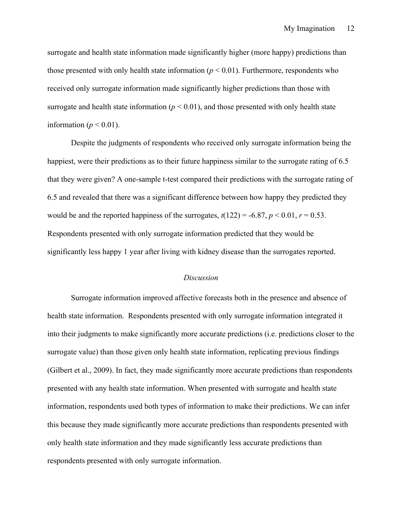surrogate and health state information made significantly higher (more happy) predictions than those presented with only health state information  $(p < 0.01)$ . Furthermore, respondents who received only surrogate information made significantly higher predictions than those with surrogate and health state information  $(p < 0.01)$ , and those presented with only health state information ( $p < 0.01$ ).

Despite the judgments of respondents who received only surrogate information being the happiest, were their predictions as to their future happiness similar to the surrogate rating of 6.5 that they were given? A one-sample t-test compared their predictions with the surrogate rating of 6.5 and revealed that there was a significant difference between how happy they predicted they would be and the reported happiness of the surrogates,  $t(122) = -6.87$ ,  $p < 0.01$ ,  $r = 0.53$ . Respondents presented with only surrogate information predicted that they would be significantly less happy 1 year after living with kidney disease than the surrogates reported.

#### *Discussion*

Surrogate information improved affective forecasts both in the presence and absence of health state information. Respondents presented with only surrogate information integrated it into their judgments to make significantly more accurate predictions (i.e. predictions closer to the surrogate value) than those given only health state information, replicating previous findings (Gilbert et al., 2009). In fact, they made significantly more accurate predictions than respondents presented with any health state information. When presented with surrogate and health state information, respondents used both types of information to make their predictions. We can infer this because they made significantly more accurate predictions than respondents presented with only health state information and they made significantly less accurate predictions than respondents presented with only surrogate information.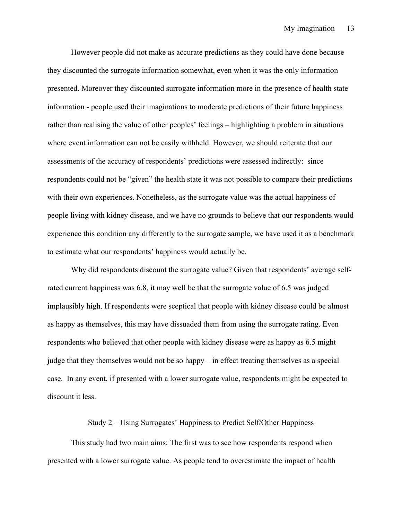However people did not make as accurate predictions as they could have done because they discounted the surrogate information somewhat, even when it was the only information presented. Moreover they discounted surrogate information more in the presence of health state information - people used their imaginations to moderate predictions of their future happiness rather than realising the value of other peoples' feelings – highlighting a problem in situations where event information can not be easily withheld. However, we should reiterate that our assessments of the accuracy of respondents' predictions were assessed indirectly: since respondents could not be "given" the health state it was not possible to compare their predictions with their own experiences. Nonetheless, as the surrogate value was the actual happiness of people living with kidney disease, and we have no grounds to believe that our respondents would experience this condition any differently to the surrogate sample, we have used it as a benchmark to estimate what our respondents' happiness would actually be.

Why did respondents discount the surrogate value? Given that respondents' average selfrated current happiness was 6.8, it may well be that the surrogate value of 6.5 was judged implausibly high. If respondents were sceptical that people with kidney disease could be almost as happy as themselves, this may have dissuaded them from using the surrogate rating. Even respondents who believed that other people with kidney disease were as happy as 6.5 might judge that they themselves would not be so happy – in effect treating themselves as a special case. In any event, if presented with a lower surrogate value, respondents might be expected to discount it less.

#### Study 2 – Using Surrogates' Happiness to Predict Self/Other Happiness

This study had two main aims: The first was to see how respondents respond when presented with a lower surrogate value. As people tend to overestimate the impact of health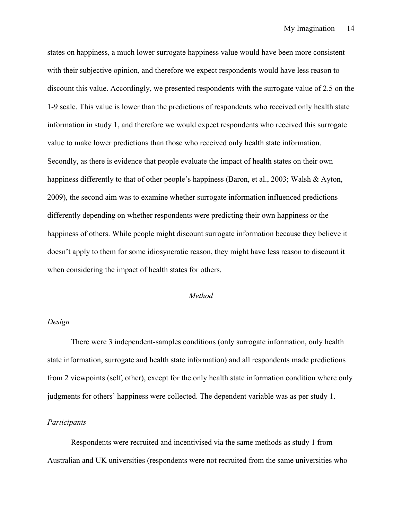states on happiness, a much lower surrogate happiness value would have been more consistent with their subjective opinion, and therefore we expect respondents would have less reason to discount this value. Accordingly, we presented respondents with the surrogate value of 2.5 on the 1-9 scale. This value is lower than the predictions of respondents who received only health state information in study 1, and therefore we would expect respondents who received this surrogate value to make lower predictions than those who received only health state information. Secondly, as there is evidence that people evaluate the impact of health states on their own happiness differently to that of other people's happiness (Baron, et al., 2003; Walsh & Ayton, 2009), the second aim was to examine whether surrogate information influenced predictions differently depending on whether respondents were predicting their own happiness or the happiness of others. While people might discount surrogate information because they believe it doesn't apply to them for some idiosyncratic reason, they might have less reason to discount it when considering the impact of health states for others.

#### *Method*

#### *Design*

There were 3 independent-samples conditions (only surrogate information, only health state information, surrogate and health state information) and all respondents made predictions from 2 viewpoints (self, other), except for the only health state information condition where only judgments for others' happiness were collected. The dependent variable was as per study 1.

#### *Participants*

Respondents were recruited and incentivised via the same methods as study 1 from Australian and UK universities (respondents were not recruited from the same universities who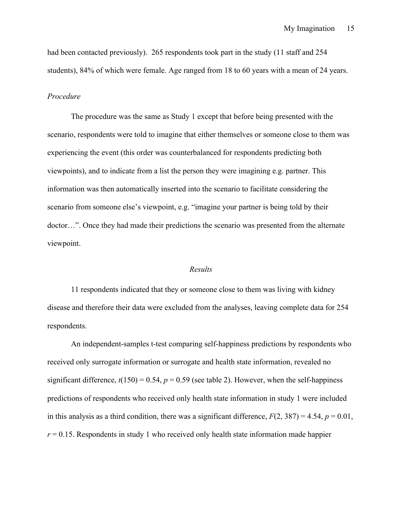had been contacted previously). 265 respondents took part in the study (11 staff and 254 students), 84% of which were female. Age ranged from 18 to 60 years with a mean of 24 years.

#### *Procedure*

The procedure was the same as Study 1 except that before being presented with the scenario, respondents were told to imagine that either themselves or someone close to them was experiencing the event (this order was counterbalanced for respondents predicting both viewpoints), and to indicate from a list the person they were imagining e.g. partner. This information was then automatically inserted into the scenario to facilitate considering the scenario from someone else's viewpoint, e.g. "imagine your partner is being told by their doctor…". Once they had made their predictions the scenario was presented from the alternate viewpoint.

#### *Results*

11 respondents indicated that they or someone close to them was living with kidney disease and therefore their data were excluded from the analyses, leaving complete data for 254 respondents.

An independent-samples t-test comparing self-happiness predictions by respondents who received only surrogate information or surrogate and health state information, revealed no significant difference,  $t(150) = 0.54$ ,  $p = 0.59$  (see table 2). However, when the self-happiness predictions of respondents who received only health state information in study 1 were included in this analysis as a third condition, there was a significant difference,  $F(2, 387) = 4.54$ ,  $p = 0.01$ ,  $r = 0.15$ . Respondents in study 1 who received only health state information made happier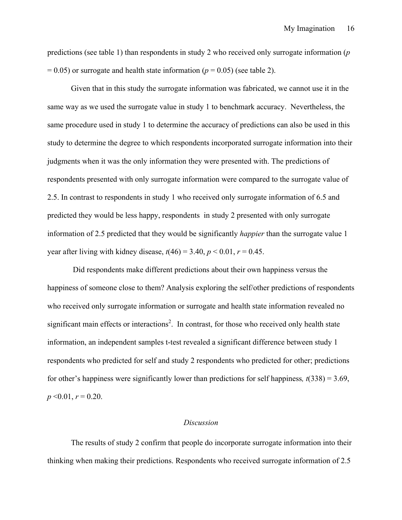predictions (see table 1) than respondents in study 2 who received only surrogate information (*p*   $= 0.05$ ) or surrogate and health state information ( $p = 0.05$ ) (see table 2).

Given that in this study the surrogate information was fabricated, we cannot use it in the same way as we used the surrogate value in study 1 to benchmark accuracy. Nevertheless, the same procedure used in study 1 to determine the accuracy of predictions can also be used in this study to determine the degree to which respondents incorporated surrogate information into their judgments when it was the only information they were presented with. The predictions of respondents presented with only surrogate information were compared to the surrogate value of 2.5. In contrast to respondents in study 1 who received only surrogate information of 6.5 and predicted they would be less happy, respondents in study 2 presented with only surrogate information of 2.5 predicted that they would be significantly *happier* than the surrogate value 1 year after living with kidney disease,  $t(46) = 3.40$ ,  $p < 0.01$ ,  $r = 0.45$ .

Did respondents make different predictions about their own happiness versus the happiness of someone close to them? Analysis exploring the self/other predictions of respondents who received only surrogate information or surrogate and health state information revealed no significant main effects or interactions<sup>2</sup>. In contrast, for those who received only health state information, an independent samples t-test revealed a significant difference between study 1 respondents who predicted for self and study 2 respondents who predicted for other; predictions for other's happiness were significantly lower than predictions for self happiness*, t*(338) = 3.69,  $p \le 0.01$ ,  $r = 0.20$ .

#### *Discussion*

The results of study 2 confirm that people do incorporate surrogate information into their thinking when making their predictions. Respondents who received surrogate information of 2.5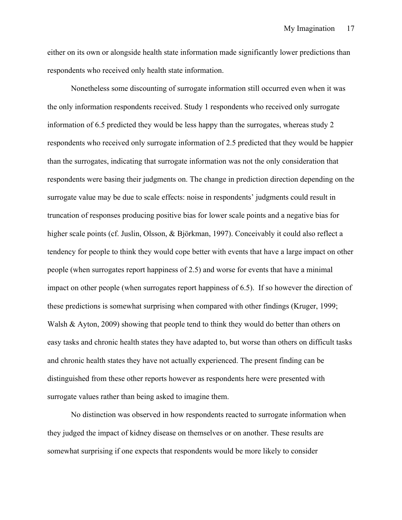either on its own or alongside health state information made significantly lower predictions than respondents who received only health state information.

Nonetheless some discounting of surrogate information still occurred even when it was the only information respondents received. Study 1 respondents who received only surrogate information of 6.5 predicted they would be less happy than the surrogates, whereas study 2 respondents who received only surrogate information of 2.5 predicted that they would be happier than the surrogates, indicating that surrogate information was not the only consideration that respondents were basing their judgments on. The change in prediction direction depending on the surrogate value may be due to scale effects: noise in respondents' judgments could result in truncation of responses producing positive bias for lower scale points and a negative bias for higher scale points (cf. Juslin, Olsson, & Björkman, 1997). Conceivably it could also reflect a tendency for people to think they would cope better with events that have a large impact on other people (when surrogates report happiness of 2.5) and worse for events that have a minimal impact on other people (when surrogates report happiness of 6.5). If so however the direction of these predictions is somewhat surprising when compared with other findings (Kruger, 1999; Walsh & Ayton, 2009) showing that people tend to think they would do better than others on easy tasks and chronic health states they have adapted to, but worse than others on difficult tasks and chronic health states they have not actually experienced. The present finding can be distinguished from these other reports however as respondents here were presented with surrogate values rather than being asked to imagine them.

No distinction was observed in how respondents reacted to surrogate information when they judged the impact of kidney disease on themselves or on another. These results are somewhat surprising if one expects that respondents would be more likely to consider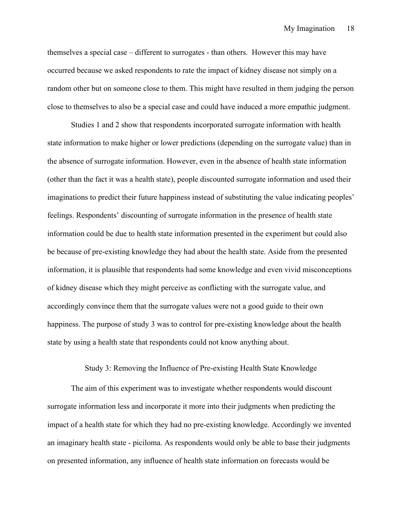themselves a special case – different to surrogates - than others. However this may have occurred because we asked respondents to rate the impact of kidney disease not simply on a random other but on someone close to them. This might have resulted in them judging the person close to themselves to also be a special case and could have induced a more empathic judgment.

Studies 1 and 2 show that respondents incorporated surrogate information with health state information to make higher or lower predictions (depending on the surrogate value) than in the absence of surrogate information. However, even in the absence of health state information (other than the fact it was a health state), people discounted surrogate information and used their imaginations to predict their future happiness instead of substituting the value indicating peoples' feelings. Respondents' discounting of surrogate information in the presence of health state information could be due to health state information presented in the experiment but could also be because of pre-existing knowledge they had about the health state. Aside from the presented information, it is plausible that respondents had some knowledge and even vivid misconceptions of kidney disease which they might perceive as conflicting with the surrogate value, and accordingly convince them that the surrogate values were not a good guide to their own happiness. The purpose of study 3 was to control for pre-existing knowledge about the health state by using a health state that respondents could not know anything about.

#### Study 3: Removing the Influence of Pre-existing Health State Knowledge

The aim of this experiment was to investigate whether respondents would discount surrogate information less and incorporate it more into their judgments when predicting the impact of a health state for which they had no pre-existing knowledge. Accordingly we invented an imaginary health state - piciloma. As respondents would only be able to base their judgments on presented information, any influence of health state information on forecasts would be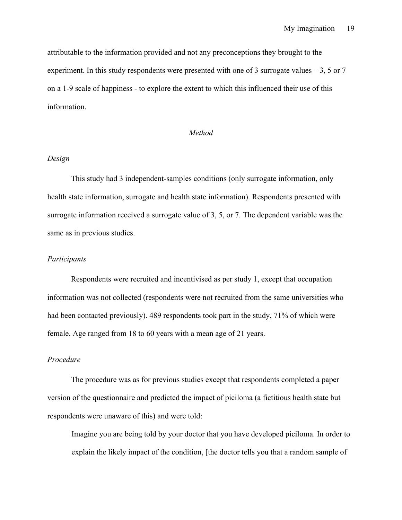attributable to the information provided and not any preconceptions they brought to the experiment. In this study respondents were presented with one of 3 surrogate values  $-3$ , 5 or 7 on a 1-9 scale of happiness - to explore the extent to which this influenced their use of this information.

#### *Method*

#### *Design*

This study had 3 independent-samples conditions (only surrogate information, only health state information, surrogate and health state information). Respondents presented with surrogate information received a surrogate value of 3, 5, or 7. The dependent variable was the same as in previous studies.

#### *Participants*

Respondents were recruited and incentivised as per study 1, except that occupation information was not collected (respondents were not recruited from the same universities who had been contacted previously). 489 respondents took part in the study, 71% of which were female. Age ranged from 18 to 60 years with a mean age of 21 years.

#### *Procedure*

The procedure was as for previous studies except that respondents completed a paper version of the questionnaire and predicted the impact of piciloma (a fictitious health state but respondents were unaware of this) and were told:

Imagine you are being told by your doctor that you have developed piciloma. In order to explain the likely impact of the condition, [the doctor tells you that a random sample of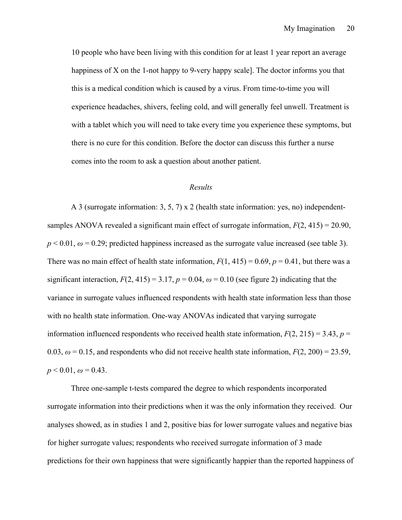10 people who have been living with this condition for at least 1 year report an average happiness of X on the 1-not happy to 9-very happy scale]. The doctor informs you that this is a medical condition which is caused by a virus. From time-to-time you will experience headaches, shivers, feeling cold, and will generally feel unwell. Treatment is with a tablet which you will need to take every time you experience these symptoms, but there is no cure for this condition. Before the doctor can discuss this further a nurse comes into the room to ask a question about another patient.

#### *Results*

A 3 (surrogate information: 3, 5, 7) x 2 (health state information: yes, no) independentsamples ANOVA revealed a significant main effect of surrogate information, *F*(2, 415) = 20.90,  $p < 0.01$ ,  $\omega = 0.29$ ; predicted happiness increased as the surrogate value increased (see table 3). There was no main effect of health state information,  $F(1, 415) = 0.69$ ,  $p = 0.41$ , but there was a significant interaction,  $F(2, 415) = 3.17$ ,  $p = 0.04$ ,  $\omega = 0.10$  (see figure 2) indicating that the variance in surrogate values influenced respondents with health state information less than those with no health state information. One-way ANOVAs indicated that varying surrogate information influenced respondents who received health state information,  $F(2, 215) = 3.43$ ,  $p =$ 0.03,  $\omega$  = 0.15, and respondents who did not receive health state information,  $F(2, 200) = 23.59$ ,  $p < 0.01$ ,  $\omega = 0.43$ .

Three one-sample t-tests compared the degree to which respondents incorporated surrogate information into their predictions when it was the only information they received. Our analyses showed, as in studies 1 and 2, positive bias for lower surrogate values and negative bias for higher surrogate values; respondents who received surrogate information of 3 made predictions for their own happiness that were significantly happier than the reported happiness of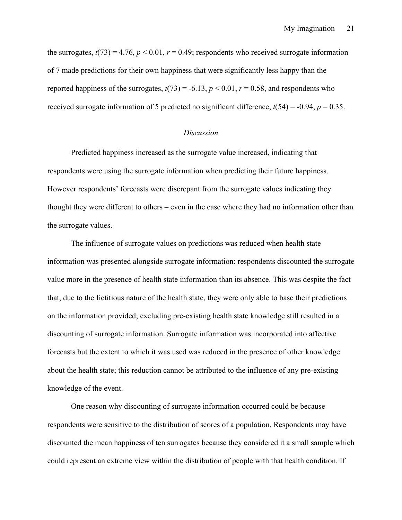the surrogates,  $t(73) = 4.76$ ,  $p < 0.01$ ,  $r = 0.49$ ; respondents who received surrogate information of 7 made predictions for their own happiness that were significantly less happy than the reported happiness of the surrogates,  $t(73) = -6.13$ ,  $p < 0.01$ ,  $r = 0.58$ , and respondents who received surrogate information of 5 predicted no significant difference,  $t(54) = -0.94$ ,  $p = 0.35$ .

#### *Discussion*

Predicted happiness increased as the surrogate value increased, indicating that respondents were using the surrogate information when predicting their future happiness. However respondents' forecasts were discrepant from the surrogate values indicating they thought they were different to others – even in the case where they had no information other than the surrogate values.

The influence of surrogate values on predictions was reduced when health state information was presented alongside surrogate information: respondents discounted the surrogate value more in the presence of health state information than its absence. This was despite the fact that, due to the fictitious nature of the health state, they were only able to base their predictions on the information provided; excluding pre-existing health state knowledge still resulted in a discounting of surrogate information. Surrogate information was incorporated into affective forecasts but the extent to which it was used was reduced in the presence of other knowledge about the health state; this reduction cannot be attributed to the influence of any pre-existing knowledge of the event.

One reason why discounting of surrogate information occurred could be because respondents were sensitive to the distribution of scores of a population. Respondents may have discounted the mean happiness of ten surrogates because they considered it a small sample which could represent an extreme view within the distribution of people with that health condition. If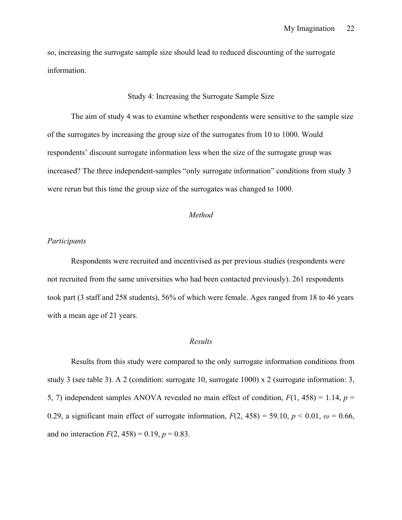so, increasing the surrogate sample size should lead to reduced discounting of the surrogate information.

#### Study 4: Increasing the Surrogate Sample Size

The aim of study 4 was to examine whether respondents were sensitive to the sample size of the surrogates by increasing the group size of the surrogates from 10 to 1000. Would respondents' discount surrogate information less when the size of the surrogate group was increased? The three independent-samples "only surrogate information" conditions from study 3 were rerun but this time the group size of the surrogates was changed to 1000.

#### *Method*

#### *Participants*

Respondents were recruited and incentivised as per previous studies (respondents were not recruited from the same universities who had been contacted previously). 261 respondents took part (3 staff and 258 students), 56% of which were female. Ages ranged from 18 to 46 years with a mean age of 21 years.

#### *Results*

Results from this study were compared to the only surrogate information conditions from study 3 (see table 3). A 2 (condition: surrogate 10, surrogate 1000) x 2 (surrogate information: 3, 5, 7) independent samples ANOVA revealed no main effect of condition, *F*(1, 458) = 1.14, *p* = 0.29, a significant main effect of surrogate information,  $F(2, 458) = 59.10$ ,  $p < 0.01$ ,  $\omega = 0.66$ , and no interaction  $F(2, 458) = 0.19$ ,  $p = 0.83$ .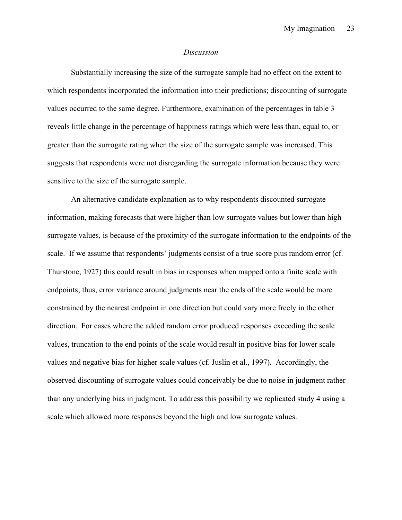#### *Discussion*

Substantially increasing the size of the surrogate sample had no effect on the extent to which respondents incorporated the information into their predictions; discounting of surrogate values occurred to the same degree. Furthermore, examination of the percentages in table 3 reveals little change in the percentage of happiness ratings which were less than, equal to, or greater than the surrogate rating when the size of the surrogate sample was increased. This suggests that respondents were not disregarding the surrogate information because they were sensitive to the size of the surrogate sample.

An alternative candidate explanation as to why respondents discounted surrogate information, making forecasts that were higher than low surrogate values but lower than high surrogate values, is because of the proximity of the surrogate information to the endpoints of the scale. If we assume that respondents' judgments consist of a true score plus random error (cf. Thurstone, 1927) this could result in bias in responses when mapped onto a finite scale with endpoints; thus, error variance around judgments near the ends of the scale would be more constrained by the nearest endpoint in one direction but could vary more freely in the other direction. For cases where the added random error produced responses exceeding the scale values, truncation to the end points of the scale would result in positive bias for lower scale values and negative bias for higher scale values (cf. Juslin et al., 1997). Accordingly, the observed discounting of surrogate values could conceivably be due to noise in judgment rather than any underlying bias in judgment. To address this possibility we replicated study 4 using a scale which allowed more responses beyond the high and low surrogate values.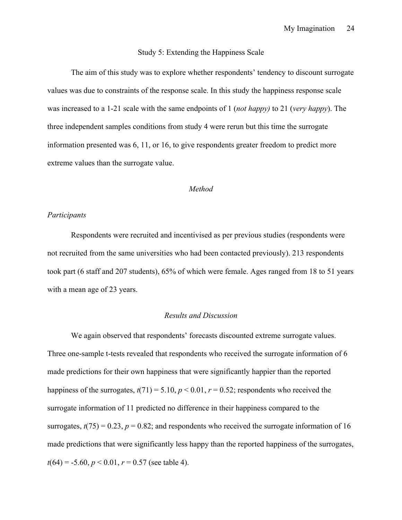#### Study 5: Extending the Happiness Scale

The aim of this study was to explore whether respondents' tendency to discount surrogate values was due to constraints of the response scale. In this study the happiness response scale was increased to a 1-21 scale with the same endpoints of 1 (*not happy)* to 21 (*very happy*). The three independent samples conditions from study 4 were rerun but this time the surrogate information presented was 6, 11, or 16, to give respondents greater freedom to predict more extreme values than the surrogate value.

#### *Method*

#### *Participants*

Respondents were recruited and incentivised as per previous studies (respondents were not recruited from the same universities who had been contacted previously). 213 respondents took part (6 staff and 207 students), 65% of which were female. Ages ranged from 18 to 51 years with a mean age of 23 years.

#### *Results and Discussion*

We again observed that respondents' forecasts discounted extreme surrogate values. Three one-sample t-tests revealed that respondents who received the surrogate information of 6 made predictions for their own happiness that were significantly happier than the reported happiness of the surrogates,  $t(71) = 5.10$ ,  $p < 0.01$ ,  $r = 0.52$ ; respondents who received the surrogate information of 11 predicted no difference in their happiness compared to the surrogates,  $t(75) = 0.23$ ,  $p = 0.82$ ; and respondents who received the surrogate information of 16 made predictions that were significantly less happy than the reported happiness of the surrogates,  $t(64) = -5.60, p < 0.01, r = 0.57$  (see table 4).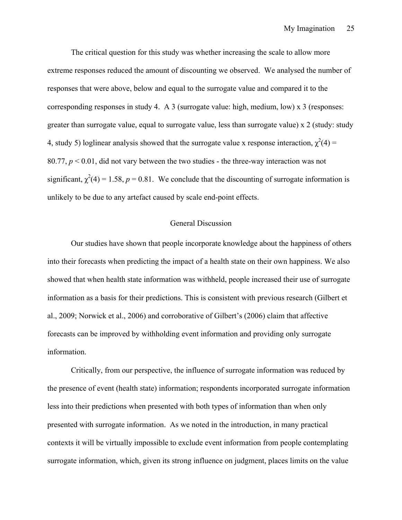The critical question for this study was whether increasing the scale to allow more extreme responses reduced the amount of discounting we observed. We analysed the number of responses that were above, below and equal to the surrogate value and compared it to the corresponding responses in study 4. A 3 (surrogate value: high, medium, low) x 3 (responses: greater than surrogate value, equal to surrogate value, less than surrogate value) x 2 (study: study 4, study 5) loglinear analysis showed that the surrogate value x response interaction,  $\chi^2(4)$  = 80.77, *p* < 0.01, did not vary between the two studies - the three-way interaction was not significant,  $\chi^2(4) = 1.58$ ,  $p = 0.81$ . We conclude that the discounting of surrogate information is unlikely to be due to any artefact caused by scale end-point effects.

#### General Discussion

Our studies have shown that people incorporate knowledge about the happiness of others into their forecasts when predicting the impact of a health state on their own happiness. We also showed that when health state information was withheld, people increased their use of surrogate information as a basis for their predictions. This is consistent with previous research (Gilbert et al., 2009; Norwick et al., 2006) and corroborative of Gilbert's (2006) claim that affective forecasts can be improved by withholding event information and providing only surrogate information.

Critically, from our perspective, the influence of surrogate information was reduced by the presence of event (health state) information; respondents incorporated surrogate information less into their predictions when presented with both types of information than when only presented with surrogate information. As we noted in the introduction, in many practical contexts it will be virtually impossible to exclude event information from people contemplating surrogate information, which, given its strong influence on judgment, places limits on the value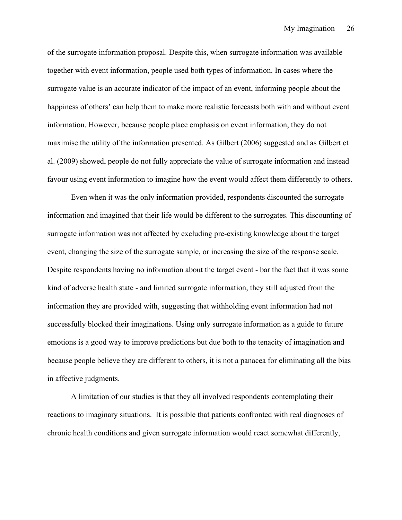of the surrogate information proposal. Despite this, when surrogate information was available together with event information, people used both types of information. In cases where the surrogate value is an accurate indicator of the impact of an event, informing people about the happiness of others' can help them to make more realistic forecasts both with and without event information. However, because people place emphasis on event information, they do not maximise the utility of the information presented. As Gilbert (2006) suggested and as Gilbert et al. (2009) showed, people do not fully appreciate the value of surrogate information and instead favour using event information to imagine how the event would affect them differently to others.

Even when it was the only information provided, respondents discounted the surrogate information and imagined that their life would be different to the surrogates. This discounting of surrogate information was not affected by excluding pre-existing knowledge about the target event, changing the size of the surrogate sample, or increasing the size of the response scale. Despite respondents having no information about the target event - bar the fact that it was some kind of adverse health state - and limited surrogate information, they still adjusted from the information they are provided with, suggesting that withholding event information had not successfully blocked their imaginations. Using only surrogate information as a guide to future emotions is a good way to improve predictions but due both to the tenacity of imagination and because people believe they are different to others, it is not a panacea for eliminating all the bias in affective judgments.

A limitation of our studies is that they all involved respondents contemplating their reactions to imaginary situations. It is possible that patients confronted with real diagnoses of chronic health conditions and given surrogate information would react somewhat differently,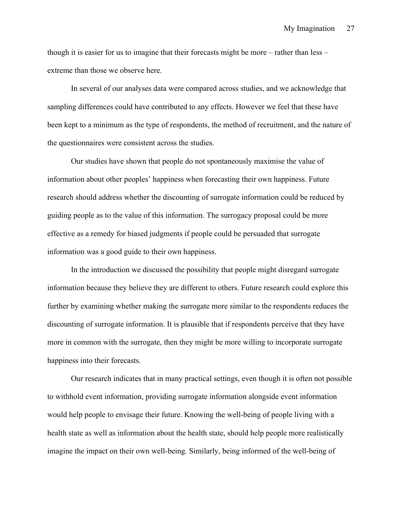though it is easier for us to imagine that their forecasts might be more – rather than less – extreme than those we observe here.

In several of our analyses data were compared across studies, and we acknowledge that sampling differences could have contributed to any effects. However we feel that these have been kept to a minimum as the type of respondents, the method of recruitment, and the nature of the questionnaires were consistent across the studies.

Our studies have shown that people do not spontaneously maximise the value of information about other peoples' happiness when forecasting their own happiness. Future research should address whether the discounting of surrogate information could be reduced by guiding people as to the value of this information. The surrogacy proposal could be more effective as a remedy for biased judgments if people could be persuaded that surrogate information was a good guide to their own happiness.

In the introduction we discussed the possibility that people might disregard surrogate information because they believe they are different to others. Future research could explore this further by examining whether making the surrogate more similar to the respondents reduces the discounting of surrogate information. It is plausible that if respondents perceive that they have more in common with the surrogate, then they might be more willing to incorporate surrogate happiness into their forecasts.

Our research indicates that in many practical settings, even though it is often not possible to withhold event information, providing surrogate information alongside event information would help people to envisage their future. Knowing the well-being of people living with a health state as well as information about the health state, should help people more realistically imagine the impact on their own well-being. Similarly, being informed of the well-being of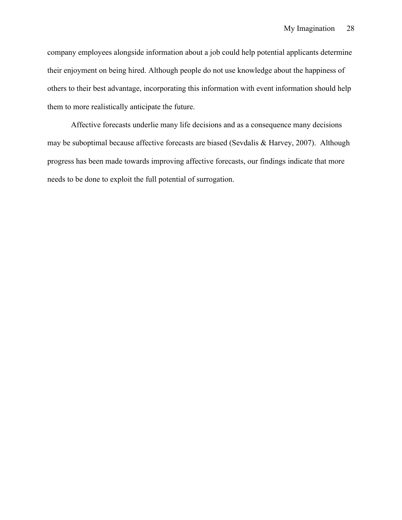company employees alongside information about a job could help potential applicants determine their enjoyment on being hired. Although people do not use knowledge about the happiness of others to their best advantage, incorporating this information with event information should help them to more realistically anticipate the future.

Affective forecasts underlie many life decisions and as a consequence many decisions may be suboptimal because affective forecasts are biased (Sevdalis & Harvey, 2007). Although progress has been made towards improving affective forecasts, our findings indicate that more needs to be done to exploit the full potential of surrogation.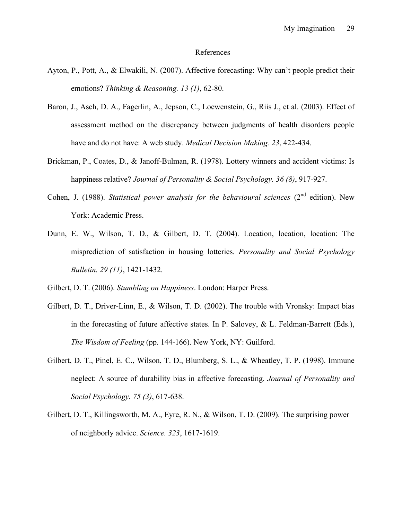#### References

- Ayton, P., Pott, A., & Elwakili, N. (2007). Affective forecasting: Why can't people predict their emotions? *Thinking & Reasoning. 13 (1)*, 62-80.
- Baron, J., Asch, D. A., Fagerlin, A., Jepson, C., Loewenstein, G., Riis J., et al. (2003). Effect of assessment method on the discrepancy between judgments of health disorders people have and do not have: A web study. *Medical Decision Making. 23*, 422-434.
- Brickman, P., Coates, D., & Janoff-Bulman, R. (1978). Lottery winners and accident victims: Is happiness relative? *Journal of Personality & Social Psychology. 36 (8)*, 917-927.
- Cohen, J. (1988). *Statistical power analysis for the behavioural sciences* (2<sup>nd</sup> edition). New York: Academic Press.
- Dunn, E. W., Wilson, T. D., & Gilbert, D. T. (2004). Location, location, location: The misprediction of satisfaction in housing lotteries. *Personality and Social Psychology Bulletin. 29 (11)*, 1421-1432.

Gilbert, D. T. (2006). *Stumbling on Happiness*. London: Harper Press.

- Gilbert, D. T., Driver-Linn, E., & Wilson, T. D. (2002). The trouble with Vronsky: Impact bias in the forecasting of future affective states. In P. Salovey, & L. Feldman-Barrett (Eds.), *The Wisdom of Feeling* (pp. 144-166). New York, NY: Guilford.
- Gilbert, D. T., Pinel, E. C., Wilson, T. D., Blumberg, S. L., & Wheatley, T. P. (1998). Immune neglect: A source of durability bias in affective forecasting. *Journal of Personality and Social Psychology. 75 (3)*, 617-638.
- Gilbert, D. T., Killingsworth, M. A., Eyre, R. N., & Wilson, T. D. (2009). The surprising power of neighborly advice. *Science. 323*, 1617-1619.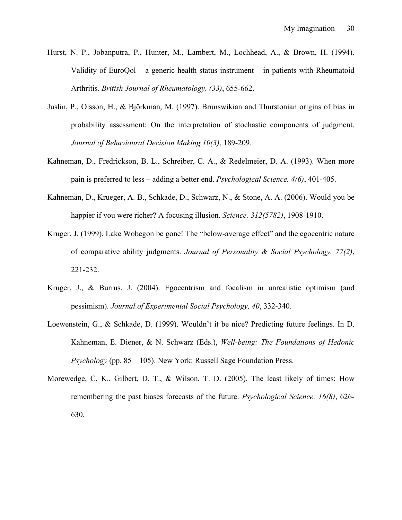- Hurst, N. P., Jobanputra, P., Hunter, M., Lambert, M., Lochhead, A., & Brown, H. (1994). Validity of EuroQol – a generic health status instrument – in patients with Rheumatoid Arthritis. *British Journal of Rheumatology. (33)*, 655-662.
- Juslin, P., Olsson, H., & Björkman, M. (1997). Brunswikian and Thurstonian origins of bias in probability assessment: On the interpretation of stochastic components of judgment. *Journal of Behavioural Decision Making 10(3)*, 189-209.
- Kahneman, D., Fredrickson, B. L., Schreiber, C. A., & Redelmeier, D. A. (1993). When more pain is preferred to less – adding a better end. *Psychological Science. 4(6)*, 401-405.
- Kahneman, D., Krueger, A. B., Schkade, D., Schwarz, N., & Stone, A. A. (2006). Would you be happier if you were richer? A focusing illusion. *Science. 312(5782)*, 1908-1910.
- Kruger, J. (1999). Lake Wobegon be gone! The "below-average effect" and the egocentric nature of comparative ability judgments. *Journal of Personality & Social Psychology. 77(2)*, 221-232.
- Kruger, J., & Burrus, J. (2004). Egocentrism and focalism in unrealistic optimism (and pessimism). *Journal of Experimental Social Psychology, 40*, 332-340.
- Loewenstein, G., & Schkade, D. (1999). Wouldn't it be nice? Predicting future feelings. In D. Kahneman, E. Diener, & N. Schwarz (Eds.), *Well-being: The Foundations of Hedonic Psychology* (pp. 85 – 105). New York: Russell Sage Foundation Press.
- Morewedge, C. K., Gilbert, D. T., & Wilson, T. D. (2005). The least likely of times: How remembering the past biases forecasts of the future. *Psychological Science. 16(8)*, 626- 630.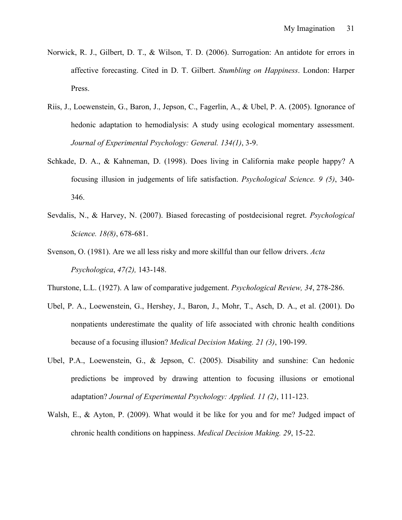- Norwick, R. J., Gilbert, D. T., & Wilson, T. D. (2006). Surrogation: An antidote for errors in affective forecasting. Cited in D. T. Gilbert. *Stumbling on Happiness*. London: Harper Press.
- Riis, J., Loewenstein, G., Baron, J., Jepson, C., Fagerlin, A., & Ubel, P. A. (2005). Ignorance of hedonic adaptation to hemodialysis: A study using ecological momentary assessment. *Journal of Experimental Psychology: General. 134(1)*, 3-9.
- Schkade, D. A., & Kahneman, D. (1998). Does living in California make people happy? A focusing illusion in judgements of life satisfaction. *Psychological Science. 9 (5)*, 340- 346.
- Sevdalis, N., & Harvey, N. (2007). Biased forecasting of postdecisional regret. *Psychological Science. 18(8)*, 678-681.
- Svenson, O. (1981). Are we all less risky and more skillful than our fellow drivers. *Acta Psychologica*, *47(2),* 143-148.
- Thurstone, L.L. (1927). A law of comparative judgement. *Psychological Review, 34*, 278-286.
- Ubel, P. A., Loewenstein, G., Hershey, J., Baron, J., Mohr, T., Asch, D. A., et al. (2001). Do nonpatients underestimate the quality of life associated with chronic health conditions because of a focusing illusion? *Medical Decision Making. 21 (3)*, 190-199.
- Ubel, P.A., Loewenstein, G., & Jepson, C. (2005). Disability and sunshine: Can hedonic predictions be improved by drawing attention to focusing illusions or emotional adaptation? *Journal of Experimental Psychology: Applied. 11 (2)*, 111-123.
- Walsh, E., & Ayton, P. (2009). What would it be like for you and for me? Judged impact of chronic health conditions on happiness. *Medical Decision Making. 29*, 15-22.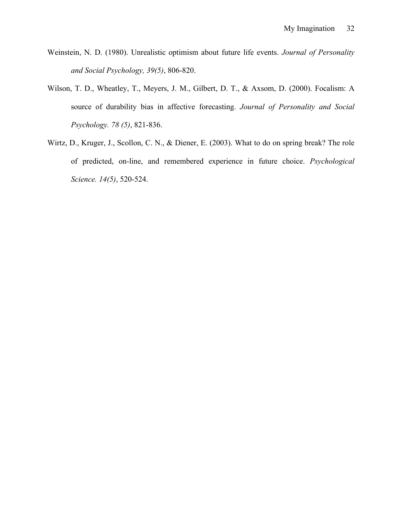- Weinstein, N. D. (1980). Unrealistic optimism about future life events. *Journal of Personality and Social Psychology, 39(5)*, 806-820.
- Wilson, T. D., Wheatley, T., Meyers, J. M., Gilbert, D. T., & Axsom, D. (2000). Focalism: A source of durability bias in affective forecasting. *Journal of Personality and Social Psychology. 78 (5)*, 821-836.
- Wirtz, D., Kruger, J., Scollon, C. N., & Diener, E. (2003). What to do on spring break? The role of predicted, on-line, and remembered experience in future choice. *Psychological Science. 14(5)*, 520-524.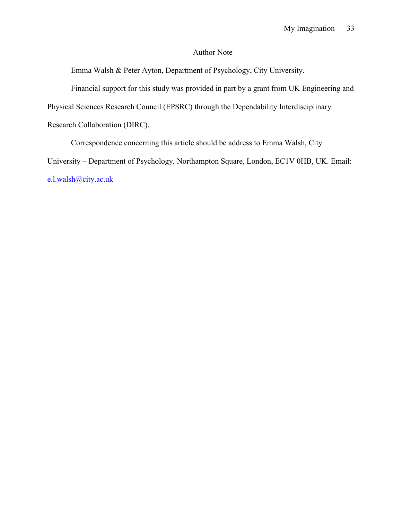## Author Note

Emma Walsh & Peter Ayton, Department of Psychology, City University.

Financial support for this study was provided in part by a grant from UK Engineering and

Physical Sciences Research Council (EPSRC) through the Dependability Interdisciplinary

Research Collaboration (DIRC).

Correspondence concerning this article should be address to Emma Walsh, City University – Department of Psychology, Northampton Square, London, EC1V 0HB, UK. Email: e.l.walsh@city.ac.uk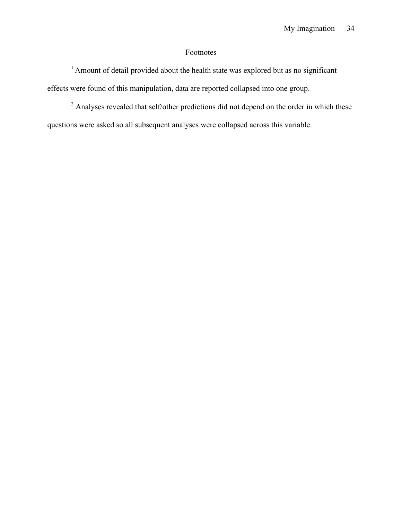## Footnotes

<sup>1</sup> Amount of detail provided about the health state was explored but as no significant effects were found of this manipulation, data are reported collapsed into one group.

<sup>2</sup> Analyses revealed that self/other predictions did not depend on the order in which these questions were asked so all subsequent analyses were collapsed across this variable.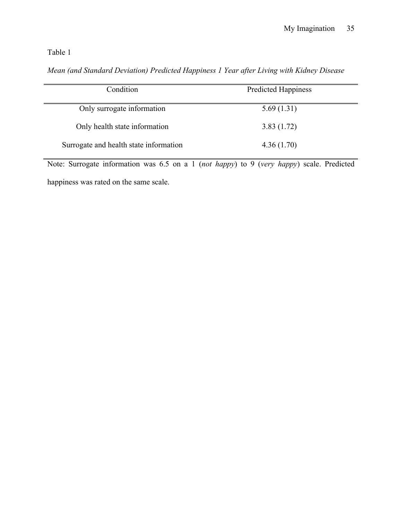*Mean (and Standard Deviation) Predicted Happiness 1 Year after Living with Kidney Disease*

| Condition                              | <b>Predicted Happiness</b> |  |
|----------------------------------------|----------------------------|--|
| Only surrogate information             | 5.69(1.31)                 |  |
| Only health state information          | 3.83(1.72)                 |  |
| Surrogate and health state information | 4.36(1.70)                 |  |

Note: Surrogate information was 6.5 on a 1 (*not happy*) to 9 (*very happy*) scale. Predicted

happiness was rated on the same scale.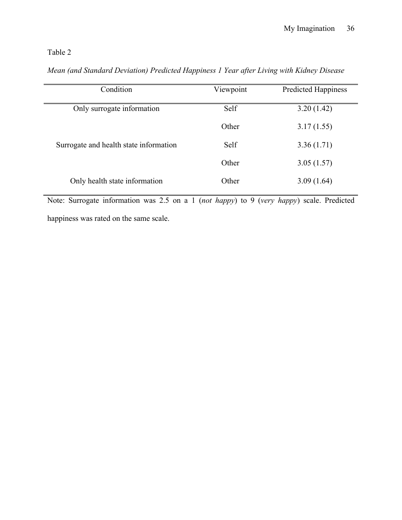| Condition                              | Viewpoint | <b>Predicted Happiness</b> |
|----------------------------------------|-----------|----------------------------|
| Only surrogate information             | Self      | 3.20(1.42)                 |
|                                        | Other     | 3.17(1.55)                 |
| Surrogate and health state information | Self      | 3.36(1.71)                 |
|                                        | Other     | 3.05(1.57)                 |
| Only health state information          | Other     | 3.09(1.64)                 |

*Mean (and Standard Deviation) Predicted Happiness 1 Year after Living with Kidney Disease*

Note: Surrogate information was 2.5 on a 1 (*not happy*) to 9 (*very happy*) scale. Predicted

happiness was rated on the same scale.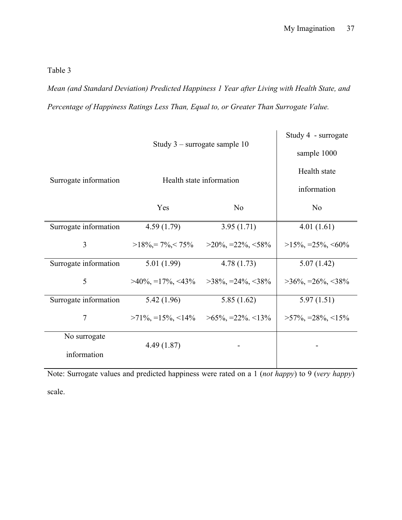*Mean (and Standard Deviation) Predicted Happiness 1 Year after Living with Health State, and Percentage of Happiness Ratings Less Than, Equal to, or Greater Than Surrogate Value.* 

|                       | Study $3$ – surrogate sample 10<br>Health state information |                             | Study 4 - surrogate<br>sample 1000 |
|-----------------------|-------------------------------------------------------------|-----------------------------|------------------------------------|
| Surrogate information |                                                             |                             | Health state                       |
|                       |                                                             |                             | information                        |
|                       | Yes                                                         | N <sub>o</sub>              | N <sub>0</sub>                     |
| Surrogate information | 4.59(1.79)                                                  | 3.95(1.71)                  | 4.01(1.61)                         |
| 3                     | $>18\% = 7\% < 75\%$                                        | $>20\%$ , $=22\%$ , $<58\%$ | $>15\%$ , $=25\%$ , $<60\%$        |
| Surrogate information | 5.01(1.99)                                                  | 4.78(1.73)                  | 5.07(1.42)                         |
| 5                     | $>40\%$ , $=17\%$ , $<43\%$                                 | $>38\%$ , $=24\%$ , $<38\%$ | $>36\%$ , $=26\%$ , $<38\%$        |
| Surrogate information | 5.42 (1.96)                                                 | 5.85(1.62)                  | 5.97(1.51)                         |
| 7                     | $>71\%$ , =15%, <14%                                        | $>65\%$ , =22\% <13\%       | $>57\%$ , $=28\%$ , $<15\%$        |
| No surrogate          |                                                             |                             |                                    |
| information           | 4.49(1.87)                                                  |                             |                                    |

Note: Surrogate values and predicted happiness were rated on a 1 (*not happy*) to 9 (*very happy*) scale.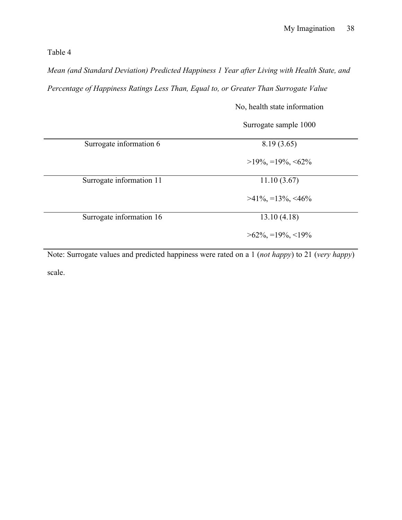*Mean (and Standard Deviation) Predicted Happiness 1 Year after Living with Health State, and* 

*Percentage of Happiness Ratings Less Than, Equal to, or Greater Than Surrogate Value*

|                          | Surrogate sample 1000       |
|--------------------------|-----------------------------|
| Surrogate information 6  | 8.19(3.65)                  |
|                          | $>19\%$ , =19%, <62%        |
| Surrogate information 11 | 11.10(3.67)                 |
|                          | $>41\%$ , $=13\%$ , $<46\%$ |
| Surrogate information 16 | 13.10(4.18)                 |
|                          | $>62\%$ , =19%, <19%        |

No, health state information

Note: Surrogate values and predicted happiness were rated on a 1 (*not happy*) to 21 (*very happy*) scale.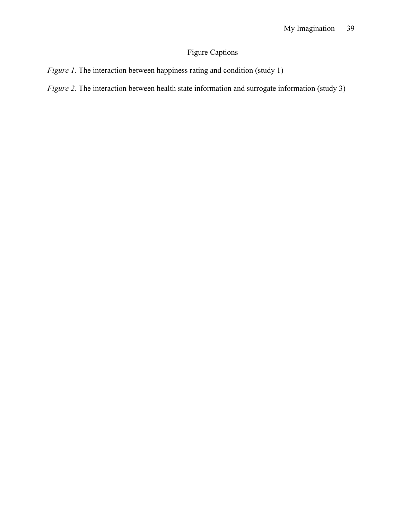## Figure Captions

- *Figure 1*. The interaction between happiness rating and condition (study 1)
- *Figure 2.* The interaction between health state information and surrogate information (study 3)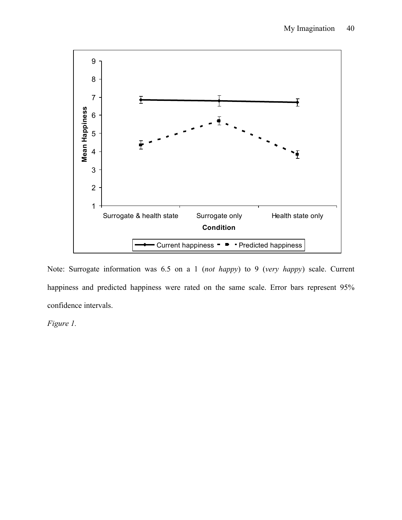

Note: Surrogate information was 6.5 on a 1 (*not happy*) to 9 (*very happy*) scale. Current happiness and predicted happiness were rated on the same scale. Error bars represent 95% confidence intervals.

*Figure 1.*